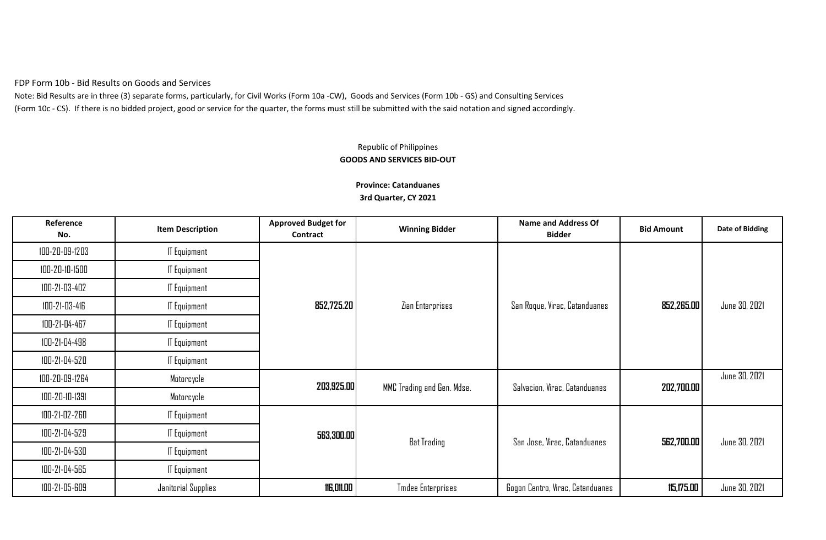FDP Form 10b - Bid Results on Goods and Services

Note: Bid Results are in three (3) separate forms, particularly, for Civil Works (Form 10a -CW), Goods and Services (Form 10b - GS) and Consulting Services (Form 10c - CS). If there is no bidded project, good or service for the quarter, the forms must still be submitted with the said notation and signed accordingly.

## Republic of Philippines **GOODS AND SERVICES BID-OUT**

| Reference<br>No. | <b>Item Description</b> | <b>Approved Budget for</b><br>Contract | <b>Winning Bidder</b>      | <b>Name and Address Of</b><br><b>Bidder</b> | <b>Bid Amount</b>            | <b>Date of Bidding</b> |               |
|------------------|-------------------------|----------------------------------------|----------------------------|---------------------------------------------|------------------------------|------------------------|---------------|
| 100-20-09-1203   | <b>IT Equipment</b>     |                                        |                            |                                             |                              |                        |               |
| 100-20-10-1500   | <b>IT Equipment</b>     |                                        |                            |                                             |                              |                        |               |
| 100-21-03-402    | <b>IT Equipment</b>     |                                        |                            |                                             |                              |                        |               |
| 100-21-03-416    | <b>IT Equipment</b>     | 852,725.20                             | Zian Enterprises           | San Roque, Virac, Catanduanes               | 852,265.00                   | June 30, 2021          |               |
| 100-21-04-467    | <b>IT Equipment</b>     |                                        |                            |                                             |                              |                        |               |
| 100-21-04-498    | <b>IT Equipment</b>     |                                        |                            |                                             |                              |                        |               |
| 100-21-04-520    | <b>IT Equipment</b>     |                                        |                            |                                             |                              |                        |               |
| 100-20-09-1264   | Motorcycle              | 203,925.00                             | MMC Trading and Gen. Mdse. | Salvacion, Virac, Catanduanes               | 202,700.00                   | June 30, 2021          |               |
| 100-20-10-1391   | Motorcycle              |                                        |                            |                                             |                              |                        |               |
| 100-21-02-260    | <b>IT Equipment</b>     |                                        |                            |                                             |                              |                        |               |
| 100-21-04-529    | <b>IT Equipment</b>     | 563,300.00                             |                            |                                             | San Jose, Virac, Catanduanes |                        | June 30, 2021 |
| 100-21-04-530    | <b>IT Equipment</b>     |                                        | <b>Bat Trading</b>         |                                             | 562,700.00                   |                        |               |
| 100-21-04-565    | <b>IT Equipment</b>     |                                        |                            |                                             |                              |                        |               |
| 100-21-05-609    | Janitorial Supplies     | <b>116,011.00</b>                      | <b>Tmdee Enterprises</b>   | Gogon Centro, Virac, Catanduanes            | 115,175.00                   | June 30, 2021          |               |

**Province: Catanduanes 3rd Quarter, CY 2021**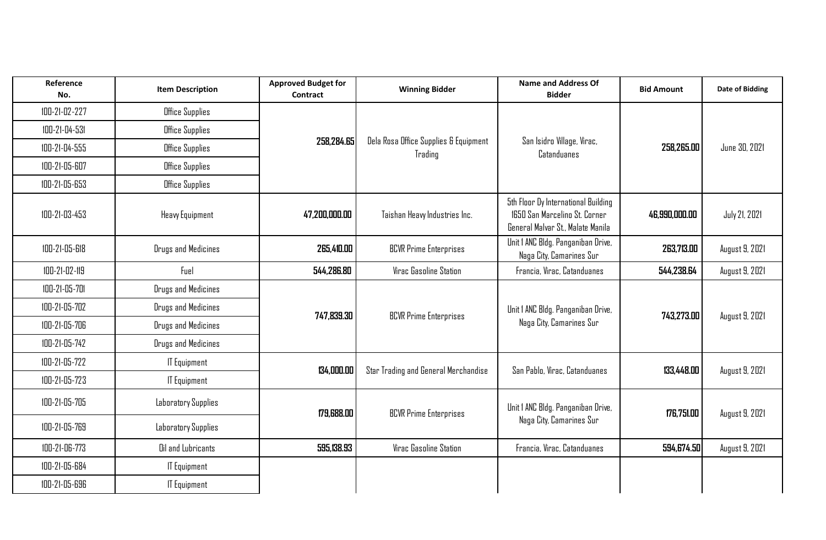| Reference<br>No. | <b>Item Description</b> | <b>Approved Budget for</b><br><b>Contract</b>                  | <b>Winning Bidder</b>                     | <b>Name and Address Of</b><br><b>Bidder</b>                                                               | <b>Bid Amount</b>        | <b>Date of Bidding</b> |
|------------------|-------------------------|----------------------------------------------------------------|-------------------------------------------|-----------------------------------------------------------------------------------------------------------|--------------------------|------------------------|
| 100-21-02-227    | Office Supplies         |                                                                |                                           |                                                                                                           |                          |                        |
| 100-21-04-531    | Office Supplies         |                                                                |                                           |                                                                                                           |                          |                        |
| 100-21-04-555    | Office Supplies         | 258.284.65<br>Dela Rosa Office Supplies & Equipment<br>Trading | San Isidro Village, Virac,<br>Catanduanes | 258,265.00                                                                                                | June 30, 2021            |                        |
| 100-21-05-607    | Office Supplies         |                                                                |                                           |                                                                                                           |                          |                        |
| 100-21-05-653    | Office Supplies         |                                                                |                                           |                                                                                                           |                          |                        |
| 100-21-03-453    | Heavy Equipment         | 47,200,000.00                                                  | Taishan Heavy Industries Inc.             | 5th Floor Dy International Building<br>1650 San Marcelino St. Corner<br>General Malvar St., Malate Manila | 46,990,000.00            | <b>July 21, 2021</b>   |
| 100-21-05-618    | Drugs and Medicines     | 265,410.00                                                     | <b>BCVR Prime Enterprises</b>             | Unit I ANC Bldg. Panganiban Drive,<br>Naga City, Camarines Sur                                            | 263,713.00               | August 9, 2021         |
| 100-21-02-119    | Fuel                    | 544,286.80                                                     | Virac Gasoline Station                    | Francia, Virac, Catanduanes                                                                               | 544,238.64               | August 9, 2021         |
| 100-21-05-701    | Drugs and Medicines     |                                                                |                                           |                                                                                                           |                          |                        |
| 100-21-05-702    | Drugs and Medicines     | 747,839.30                                                     | <b>BCVR Prime Enterprises</b>             | Unit I ANC Bldg. Panganiban Drive,                                                                        | 743,273.00               | August 9, 2021         |
| 100-21-05-706    | Drugs and Medicines     |                                                                |                                           |                                                                                                           | Naga City, Camarines Sur |                        |
| 100-21-05-742    | Drugs and Medicines     |                                                                |                                           |                                                                                                           |                          |                        |
| 100-21-05-722    | <b>IT Equipment</b>     | 134,000.00                                                     | Star Trading and General Merchandise      | San Pablo, Virac, Catanduanes                                                                             | 133,448.00               | August 9, 2021         |
| 100-21-05-723    | <b>IT Equipment</b>     |                                                                |                                           |                                                                                                           |                          |                        |
| 100-21-05-705    | Laboratory Supplies     | 179,688.00                                                     | <b>BCVR Prime Enterprises</b>             | Unit I ANC Bldg. Panganiban Drive,                                                                        | 176,751.00               | August 9, 2021         |
| 100-21-05-769    | Laboratory Supplies     |                                                                |                                           | Naga City, Camarines Sur                                                                                  |                          |                        |
| 100-21-06-773    | Oil and Lubricants      | 595,138.93                                                     | Virac Gasoline Station                    | Francia, Virac, Catanduanes                                                                               | 594,674.50               | August 9, 2021         |
| 100-21-05-684    | <b>IT Equipment</b>     |                                                                |                                           |                                                                                                           |                          |                        |
| 100-21-05-696    | <b>IT Equipment</b>     |                                                                |                                           |                                                                                                           |                          |                        |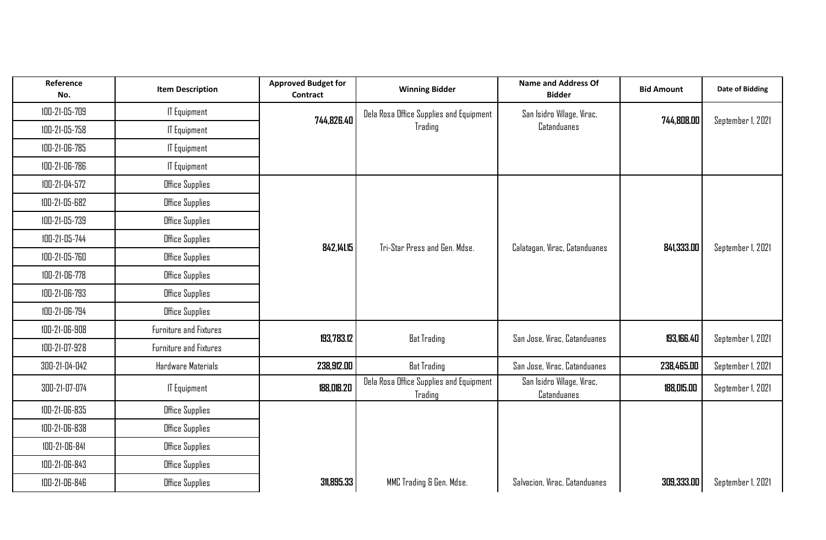| Reference<br>No. | <b>Item Description</b> | <b>Approved Budget for</b><br><b>Contract</b> | <b>Winning Bidder</b>                              | <b>Name and Address Of</b><br><b>Bidder</b> | <b>Bid Amount</b> | <b>Date of Bidding</b> |
|------------------|-------------------------|-----------------------------------------------|----------------------------------------------------|---------------------------------------------|-------------------|------------------------|
| 100-21-05-709    | <b>IT Equipment</b>     | 744,826.40                                    | Dela Rosa Office Supplies and Equipment            | San Isidro Village, Virac,                  | 744,808.00        | September 1, 2021      |
| 100-21-05-758    | <b>IT Equipment</b>     |                                               | Trading                                            | Catanduanes                                 |                   |                        |
| 100-21-06-785    | <b>IT Equipment</b>     |                                               |                                                    |                                             |                   |                        |
| 100-21-06-786    | <b>IT Equipment</b>     |                                               |                                                    |                                             |                   |                        |
| 100-21-04-572    | Office Supplies         |                                               |                                                    |                                             |                   |                        |
| 100-21-05-682    | Office Supplies         |                                               |                                                    |                                             |                   |                        |
| 100-21-05-739    | Office Supplies         |                                               |                                                    |                                             |                   |                        |
| 100-21-05-744    | <b>Office Supplies</b>  | 842,141.15                                    | Tri-Star Press and Gen. Mdse.                      | Calatagan, Virac, Catanduanes               | 841,333.00        | September 1, 2021      |
| 100-21-05-760    | Office Supplies         |                                               |                                                    |                                             |                   |                        |
| 100-21-06-778    | Office Supplies         |                                               |                                                    |                                             |                   |                        |
| 100-21-06-793    | Office Supplies         |                                               |                                                    |                                             |                   |                        |
| 100-21-06-794    | Office Supplies         |                                               |                                                    |                                             |                   |                        |
| 100-21-06-908    | Furniture and Fixtures  | 193,783.12                                    | <b>Bat Trading</b>                                 | San Jose, Virac, Catanduanes                | 193,166.40        | September 1, 2021      |
| 100-21-07-928    | Furniture and Fixtures  |                                               |                                                    |                                             |                   |                        |
| 300-21-04-042    | Hardware Materials      | 238,912.00                                    | <b>Bat Trading</b>                                 | San Jose, Virac, Catanduanes                | 238,465.00        | September 1, 2021      |
| 300-21-07-074    | <b>IT Equipment</b>     | 188,018.20                                    | Dela Rosa Office Supplies and Equipment<br>Trading | San Isidro Village, Virac,<br>Catanduanes   | 188,015.00        | September 1, 2021      |
| 100-21-06-835    | Office Supplies         |                                               |                                                    |                                             |                   |                        |
| 100-21-06-838    | Office Supplies         |                                               |                                                    |                                             |                   |                        |
| 100-21-06-841    | Office Supplies         |                                               |                                                    |                                             |                   |                        |
| 100-21-06-843    | Office Supplies         |                                               |                                                    |                                             |                   |                        |
| 100-21-06-846    | Office Supplies         | 311,895.33                                    | MMC Trading & Gen. Mdse.                           | Salvacion, Virac, Catanduanes               | 309,333.00        | September 1, 2021      |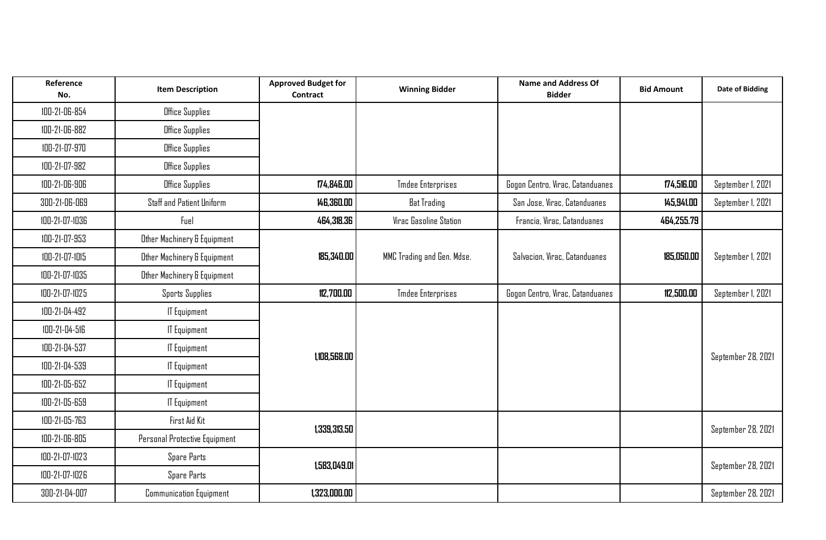| Reference<br>No. | <b>Item Description</b>          | <b>Approved Budget for</b><br>Contract | <b>Winning Bidder</b>      | <b>Name and Address Of</b><br><b>Bidder</b> | <b>Bid Amount</b> | <b>Date of Bidding</b> |
|------------------|----------------------------------|----------------------------------------|----------------------------|---------------------------------------------|-------------------|------------------------|
| 100-21-06-854    | Office Supplies                  |                                        |                            |                                             |                   |                        |
| 100-21-06-882    | Office Supplies                  |                                        |                            |                                             |                   |                        |
| 100-21-07-970    | Office Supplies                  |                                        |                            |                                             |                   |                        |
| 100-21-07-982    | Office Supplies                  |                                        |                            |                                             |                   |                        |
| 100-21-06-906    | Office Supplies                  | 174,846.00                             | <b>Tmdee Enterprises</b>   | Gogon Centro, Virac, Catanduanes            | 174,516.00        | September 1, 2021      |
| 300-21-06-069    | <b>Staff and Patient Uniform</b> | 146,360.00                             | <b>Bat Trading</b>         | San Jose, Virac, Catanduanes                | 145,941.00        | September 1, 2021      |
| 100-21-07-1036   | Fuel                             | 464,318.36                             | Virac Gasoline Station     | Francia, Virac, Catanduanes                 | 464,255.79        |                        |
| 100-21-07-953    | Other Machinery & Equipment      |                                        |                            |                                             |                   |                        |
| 100-21-07-1015   | Other Machinery & Equipment      | 185,340.00                             | MMC Trading and Gen. Mdse. | Salvacion, Virac, Catanduanes               | 185,050.00        | September 1, 2021      |
| 100-21-07-1035   | Other Machinery & Equipment      |                                        |                            |                                             |                   |                        |
| 100-21-07-1025   | <b>Sports Supplies</b>           | 112,700.00                             | <b>Tmdee Enterprises</b>   | Gogon Centro, Virac, Catanduanes            | 112,500.00        | September 1, 2021      |
| 100-21-04-492    | <b>IT Equipment</b>              |                                        |                            |                                             |                   |                        |
| 100-21-04-516    | <b>IT Equipment</b>              |                                        |                            |                                             |                   |                        |
| 100-21-04-537    | <b>IT Equipment</b>              | 1,108,568.00                           |                            |                                             |                   | September 28, 2021     |
| 100-21-04-539    | <b>IT Equipment</b>              |                                        |                            |                                             |                   |                        |
| 100-21-05-652    | <b>IT Equipment</b>              |                                        |                            |                                             |                   |                        |
| 100-21-05-659    | <b>IT Equipment</b>              |                                        |                            |                                             |                   |                        |
| 100-21-05-763    | First Aid Kit                    | 1,339,313.50                           |                            |                                             |                   | September 28, 2021     |
| 100-21-06-805    | Personal Protective Equipment    |                                        |                            |                                             |                   |                        |
| 100-21-07-1023   | Spare Parts                      | 1,583,049.01                           |                            |                                             |                   | September 28, 2021     |
| 100-21-07-1026   | Spare Parts                      |                                        |                            |                                             |                   |                        |
| 300-21-04-007    | <b>Communication Equipment</b>   | 1,323,000.00                           |                            |                                             |                   | September 28, 2021     |